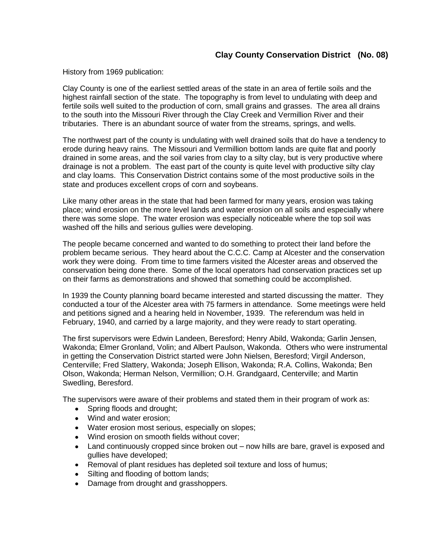## **Clay County Conservation District (No. 08)**

History from 1969 publication:

Clay County is one of the earliest settled areas of the state in an area of fertile soils and the highest rainfall section of the state. The topography is from level to undulating with deep and fertile soils well suited to the production of corn, small grains and grasses. The area all drains to the south into the Missouri River through the Clay Creek and Vermillion River and their tributaries. There is an abundant source of water from the streams, springs, and wells.

The northwest part of the county is undulating with well drained soils that do have a tendency to erode during heavy rains. The Missouri and Vermillion bottom lands are quite flat and poorly drained in some areas, and the soil varies from clay to a silty clay, but is very productive where drainage is not a problem. The east part of the county is quite level with productive silty clay and clay loams. This Conservation District contains some of the most productive soils in the state and produces excellent crops of corn and soybeans.

Like many other areas in the state that had been farmed for many years, erosion was taking place; wind erosion on the more level lands and water erosion on all soils and especially where there was some slope. The water erosion was especially noticeable where the top soil was washed off the hills and serious gullies were developing.

The people became concerned and wanted to do something to protect their land before the problem became serious. They heard about the C.C.C. Camp at Alcester and the conservation work they were doing. From time to time farmers visited the Alcester areas and observed the conservation being done there. Some of the local operators had conservation practices set up on their farms as demonstrations and showed that something could be accomplished.

In 1939 the County planning board became interested and started discussing the matter. They conducted a tour of the Alcester area with 75 farmers in attendance. Some meetings were held and petitions signed and a hearing held in November, 1939. The referendum was held in February, 1940, and carried by a large majority, and they were ready to start operating.

The first supervisors were Edwin Landeen, Beresford; Henry Abild, Wakonda; Garlin Jensen, Wakonda; Elmer Gronland, Volin; and Albert Paulson, Wakonda. Others who were instrumental in getting the Conservation District started were John Nielsen, Beresford; Virgil Anderson, Centerville; Fred Slattery, Wakonda; Joseph Ellison, Wakonda; R.A. Collins, Wakonda; Ben Olson, Wakonda; Herman Nelson, Vermillion; O.H. Grandgaard, Centerville; and Martin Swedling, Beresford.

The supervisors were aware of their problems and stated them in their program of work as:

- Spring floods and drought;
- Wind and water erosion;
- Water erosion most serious, especially on slopes;
- Wind erosion on smooth fields without cover;
- Land continuously cropped since broken out now hills are bare, gravel is exposed and gullies have developed;
- Removal of plant residues has depleted soil texture and loss of humus;
- Silting and flooding of bottom lands;
- Damage from drought and grasshoppers.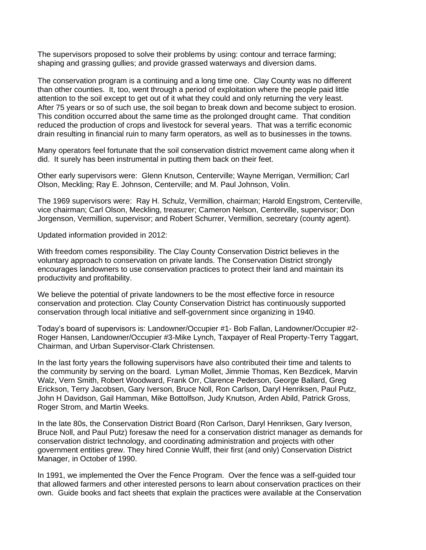The supervisors proposed to solve their problems by using: contour and terrace farming; shaping and grassing gullies; and provide grassed waterways and diversion dams.

The conservation program is a continuing and a long time one. Clay County was no different than other counties. It, too, went through a period of exploitation where the people paid little attention to the soil except to get out of it what they could and only returning the very least. After 75 years or so of such use, the soil began to break down and become subject to erosion. This condition occurred about the same time as the prolonged drought came. That condition reduced the production of crops and livestock for several years. That was a terrific economic drain resulting in financial ruin to many farm operators, as well as to businesses in the towns.

Many operators feel fortunate that the soil conservation district movement came along when it did. It surely has been instrumental in putting them back on their feet.

Other early supervisors were: Glenn Knutson, Centerville; Wayne Merrigan, Vermillion; Carl Olson, Meckling; Ray E. Johnson, Centerville; and M. Paul Johnson, Volin.

The 1969 supervisors were: Ray H. Schulz, Vermillion, chairman; Harold Engstrom, Centerville, vice chairman; Carl Olson, Meckling, treasurer; Cameron Nelson, Centerville, supervisor; Don Jorgenson, Vermillion, supervisor; and Robert Schurrer, Vermillion, secretary (county agent).

Updated information provided in 2012:

With freedom comes responsibility. The Clay County Conservation District believes in the voluntary approach to conservation on private lands. The Conservation District strongly encourages landowners to use conservation practices to protect their land and maintain its productivity and profitability.

We believe the potential of private landowners to be the most effective force in resource conservation and protection. Clay County Conservation District has continuously supported conservation through local initiative and self-government since organizing in 1940.

Today's board of supervisors is: Landowner/Occupier #1- Bob Fallan, Landowner/Occupier #2- Roger Hansen, Landowner/Occupier #3-Mike Lynch, Taxpayer of Real Property-Terry Taggart, Chairman, and Urban Supervisor-Clark Christensen.

In the last forty years the following supervisors have also contributed their time and talents to the community by serving on the board. Lyman Mollet, Jimmie Thomas, Ken Bezdicek, Marvin Walz, Vern Smith, Robert Woodward, Frank Orr, Clarence Pederson, George Ballard, Greg Erickson, Terry Jacobsen, Gary Iverson, Bruce Noll, Ron Carlson, Daryl Henriksen, Paul Putz, John H Davidson, Gail Hamman, Mike Bottolfson, Judy Knutson, Arden Abild, Patrick Gross, Roger Strom, and Martin Weeks.

In the late 80s, the Conservation District Board (Ron Carlson, Daryl Henriksen, Gary Iverson, Bruce Noll, and Paul Putz) foresaw the need for a conservation district manager as demands for conservation district technology, and coordinating administration and projects with other government entities grew. They hired Connie Wulff, their first (and only) Conservation District Manager, in October of 1990.

In 1991, we implemented the Over the Fence Program. Over the fence was a self-guided tour that allowed farmers and other interested persons to learn about conservation practices on their own. Guide books and fact sheets that explain the practices were available at the Conservation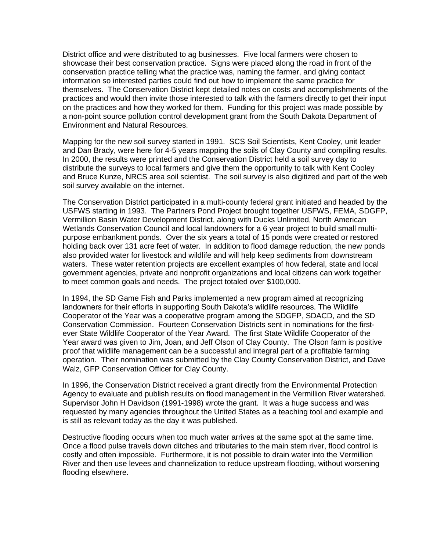District office and were distributed to ag businesses. Five local farmers were chosen to showcase their best conservation practice. Signs were placed along the road in front of the conservation practice telling what the practice was, naming the farmer, and giving contact information so interested parties could find out how to implement the same practice for themselves. The Conservation District kept detailed notes on costs and accomplishments of the practices and would then invite those interested to talk with the farmers directly to get their input on the practices and how they worked for them. Funding for this project was made possible by a non-point source pollution control development grant from the South Dakota Department of Environment and Natural Resources.

Mapping for the new soil survey started in 1991. SCS Soil Scientists, Kent Cooley, unit leader and Dan Brady, were here for 4-5 years mapping the soils of Clay County and compiling results. In 2000, the results were printed and the Conservation District held a soil survey day to distribute the surveys to local farmers and give them the opportunity to talk with Kent Cooley and Bruce Kunze, NRCS area soil scientist. The soil survey is also digitized and part of the web soil survey available on the internet.

The Conservation District participated in a multi-county federal grant initiated and headed by the USFWS starting in 1993. The Partners Pond Project brought together USFWS, FEMA, SDGFP, Vermillion Basin Water Development District, along with Ducks Unlimited, North American Wetlands Conservation Council and local landowners for a 6 year project to build small multipurpose embankment ponds. Over the six years a total of 15 ponds were created or restored holding back over 131 acre feet of water. In addition to flood damage reduction, the new ponds also provided water for livestock and wildlife and will help keep sediments from downstream waters. These water retention projects are excellent examples of how federal, state and local government agencies, private and nonprofit organizations and local citizens can work together to meet common goals and needs. The project totaled over \$100,000.

In 1994, the SD Game Fish and Parks implemented a new program aimed at recognizing landowners for their efforts in supporting South Dakota's wildlife resources. The Wildlife Cooperator of the Year was a cooperative program among the SDGFP, SDACD, and the SD Conservation Commission. Fourteen Conservation Districts sent in nominations for the firstever State Wildlife Cooperator of the Year Award. The first State Wildlife Cooperator of the Year award was given to Jim, Joan, and Jeff Olson of Clay County. The Olson farm is positive proof that wildlife management can be a successful and integral part of a profitable farming operation. Their nomination was submitted by the Clay County Conservation District, and Dave Walz, GFP Conservation Officer for Clay County.

In 1996, the Conservation District received a grant directly from the Environmental Protection Agency to evaluate and publish results on flood management in the Vermillion River watershed. Supervisor John H Davidson (1991-1998) wrote the grant. It was a huge success and was requested by many agencies throughout the United States as a teaching tool and example and is still as relevant today as the day it was published.

Destructive flooding occurs when too much water arrives at the same spot at the same time. Once a flood pulse travels down ditches and tributaries to the main stem river, flood control is costly and often impossible. Furthermore, it is not possible to drain water into the Vermillion River and then use levees and channelization to reduce upstream flooding, without worsening flooding elsewhere.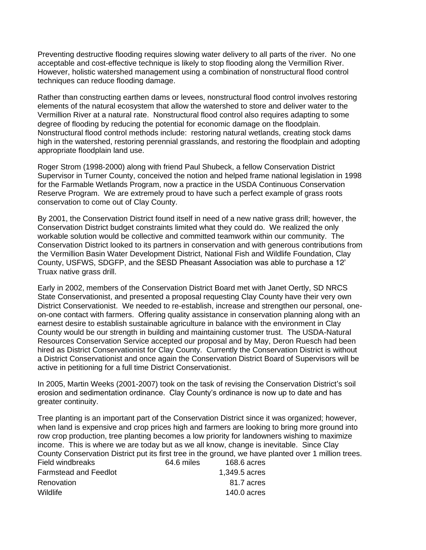Preventing destructive flooding requires slowing water delivery to all parts of the river. No one acceptable and cost-effective technique is likely to stop flooding along the Vermillion River. However, holistic watershed management using a combination of nonstructural flood control techniques can reduce flooding damage.

Rather than constructing earthen dams or levees, nonstructural flood control involves restoring elements of the natural ecosystem that allow the watershed to store and deliver water to the Vermillion River at a natural rate. Nonstructural flood control also requires adapting to some degree of flooding by reducing the potential for economic damage on the floodplain. Nonstructural flood control methods include: restoring natural wetlands, creating stock dams high in the watershed, restoring perennial grasslands, and restoring the floodplain and adopting appropriate floodplain land use.

Roger Strom (1998-2000) along with friend Paul Shubeck, a fellow Conservation District Supervisor in Turner County, conceived the notion and helped frame national legislation in 1998 for the Farmable Wetlands Program, now a practice in the USDA Continuous Conservation Reserve Program. We are extremely proud to have such a perfect example of grass roots conservation to come out of Clay County.

By 2001, the Conservation District found itself in need of a new native grass drill; however, the Conservation District budget constraints limited what they could do. We realized the only workable solution would be collective and committed teamwork within our community. The Conservation District looked to its partners in conservation and with generous contributions from the Vermillion Basin Water Development District, National Fish and Wildlife Foundation, Clay County, USFWS, SDGFP, and the SESD Pheasant Association was able to purchase a 12' Truax native grass drill.

Early in 2002, members of the Conservation District Board met with Janet Oertly, SD NRCS State Conservationist, and presented a proposal requesting Clay County have their very own District Conservationist. We needed to re-establish, increase and strengthen our personal, oneon-one contact with farmers. Offering quality assistance in conservation planning along with an earnest desire to establish sustainable agriculture in balance with the environment in Clay County would be our strength in building and maintaining customer trust. The USDA-Natural Resources Conservation Service accepted our proposal and by May, Deron Ruesch had been hired as District Conservationist for Clay County. Currently the Conservation District is without a District Conservationist and once again the Conservation District Board of Supervisors will be active in petitioning for a full time District Conservationist.

In 2005, Martin Weeks (2001-2007) took on the task of revising the Conservation District's soil erosion and sedimentation ordinance. Clay County's ordinance is now up to date and has greater continuity.

Tree planting is an important part of the Conservation District since it was organized; however, when land is expensive and crop prices high and farmers are looking to bring more ground into row crop production, tree planting becomes a low priority for landowners wishing to maximize income. This is where we are today but as we all know, change is inevitable. Since Clay County Conservation District put its first tree in the ground, we have planted over 1 million trees. Field windbreaks 64.6 miles 168.6 acres Farmstead and Feedlot 1,349.5 acres Renovation 81.7 acres Wildlife 140.0 acres